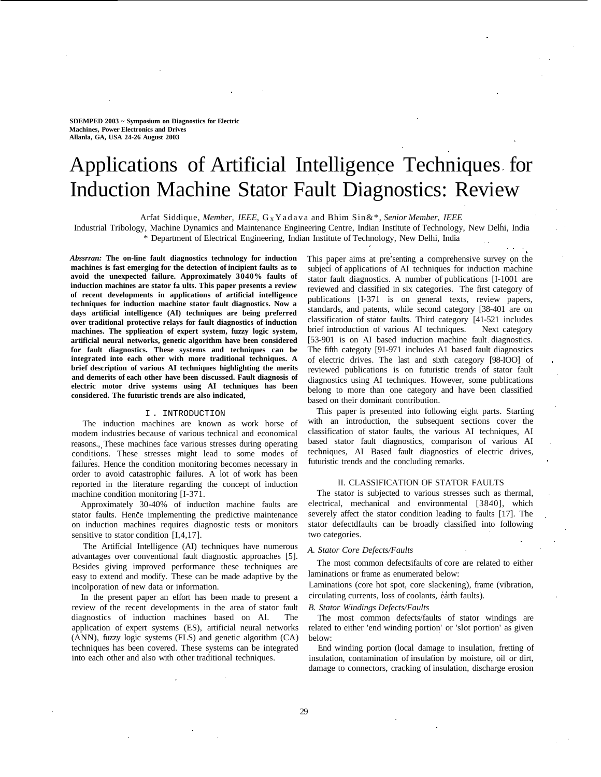**SDEMPED 2003 ~ Symposium on Diagnostics for Electric Machines, Power Electronics and Drives Allanla, GA, USA 24-26 August 2003**

# Applications of Artificial Intelligence Techniques for Induction Machine Stator Fault Diagnostics: Review

Arfat Siddique, Member, IEEE, G<sub>X</sub>Yadava and Bhim Sin&\*, Senior Member, IEEE

Industrial Tribology, Machine Dynamics and Maintenance Engineering Centre, Indian Institute of Technology, New Delhi, India \* Department of Electrical Engineering, Indian Institute of Technology, New Delhi, India

*Abssrran:* **The on-line fault diagnostics technology for induction machines is fast emerging for the detection of incipient faults as to avoid the unexpected failure. Approximately 3040% faults of induction machines are stator fa ults. This paper presents a review of recent developments in applications of artificial intelligence techniques for induction machine stator fault diagnostics. Now a days artificial intelligence (AI) techniques are being preferred over traditional protective relays for fault diagnostics of induction machines. The spplieation of expert system, fuzzy logic system, artificial neural networks, genetic algorithm have been considered for fault diagnostics. These systems and techniques can be integrated into each other with more traditional techniques. A brief description of various AI techniques highlighting the merits and demerits of each other have been discussed. Fault diagnosis of electric motor drive systems using AI techniques has been considered. The futuristic trends are also indicated,**

#### I . INTRODUCTION

The induction machines are known as work horse of modem industries because of various technical and economical reasons., These machines face various stresses during operating conditions. These stresses might lead to some modes of failures. Hence the condition monitoring becomes necessary in order to avoid catastrophic failures. A lot of work has been reported in the literature regarding the concept of induction machine condition monitoring [I-371.

Approximately 30-40% of induction machine faults are stator faults. Hence implementing the predictive maintenance on induction machines requires diagnostic tests or monitors sensitive to stator condition [I,4,17].

The Artificial Intelligence (AI) techniques have numerous advantages over conventional fault diagnostic approaches [5]. Besides giving improved performance these techniques are easy to extend and modify. These can be made adaptive by the incolporation of new data or information.

In the present paper an effort has been made to present a review of the recent developments in the area of stator fault diagnostics of induction machines based on Al. The application of expert systems (ES), artificial neural networks (ANN), fuzzy logic systems (FLS) and genetic algorithm (CA) techniques has been covered. These systems can be integrated into each other and also with other traditional techniques.

This paper aims at pre'senting a comprehensive survey on the subjeci of applications of AI techniques for induction machine stator fault diagnostics. A number of publications [I-1001 are reviewed and classified in six categories. The first category of publications [I-371 is on general texts, review papers, standards, and patents, while second category [38-401 are on classification of stator faults. Third category [41-521 includes brief introduction of various AI techniques. Next category [53-901 is on AI based induction machine fault diagnostics. The fifth categoty [91-971 includes A1 based fault diagnostics of electric drives. The last and sixth category [98-IOO] of reviewed publications is on futuristic trends of stator fault diagnostics using AI techniques. However, some publications belong to more than one category and have been classified based on their dominant contribution.

This paper is presented into following eight parts. Starting with an introduction, the subsequent sections cover the classification of stator faults, the various AI techniques, AI based stator fault diagnostics, comparison of various AI techniques, AI Based fault diagnostics of electric drives, futuristic trends and the concluding remarks.

#### II. CLASSIFICATION OF STATOR FAULTS

The stator is subjected to various stresses such as thermal, electrical, mechanical and environmental [3840], which severely affect the stator condition leading to faults [17]. The stator defectdfaults can be broadly classified into following two categories.

## *A. Stator Core Defects/Faults*

The most common defectsifaults of core are related to either laminations or frame as enumerated below:

Laminations (core hot spot, core slackening), frame (vibration, circulating currents, loss of coolants, earth faults).

*B. Stator Windings Defects/Faults*

The most common defects/faults of stator windings are related to either 'end winding portion' or 'slot portion' as given below:

End winding portion (local damage to insulation, fretting of insulation, contamination of insulation by moisture, oil or dirt, damage to connectors, cracking of insulation, discharge erosion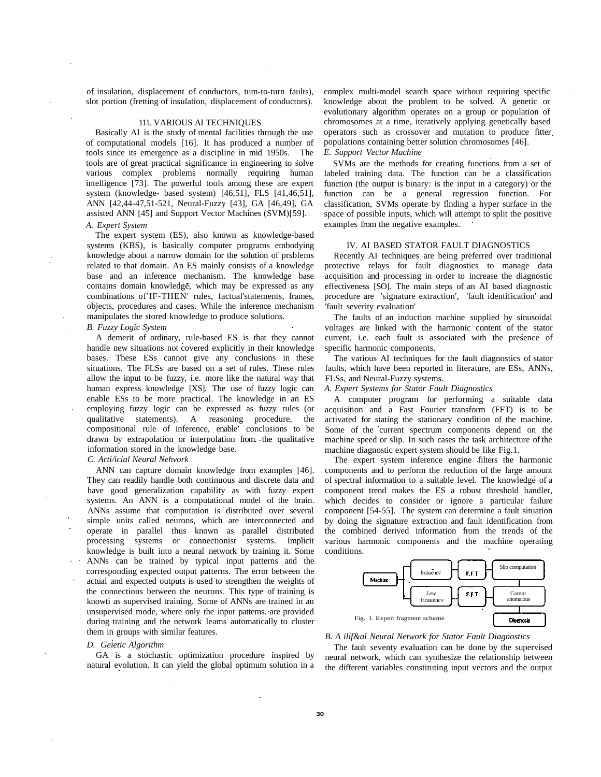of insulation, displacement of conductors, tum-to-turn faults), slot portion (fretting of insulation, displacement of conductors).

# 111. VARIOUS AI TECHNIQUES

Basically AI is the study of mental facilities through the use of computational models [16]. It has produced a number of tools since its emergence as a discipline in mid 1950s. The tools are of great practical significance in engineering to solve various complex problems normally requiring human intelligence [73]. The powerful tools among these are expert system (knowledge- based system) [46,51], FLS [41,46,51], ANN [42,44-47,51-521, Neural-Fuzzy [43], GA [46,49], GA assisted ANN [45] and Support Vector Machines (SVM)[59].

# *A. Expert System*

The expert system (ES), also known as knowledge-based systems (KBS), is basically computer programs embodying knowledge about a narrow domain for the solution of prsblems related to that domain. An ES mainly consists of a knowledge base and an inference mechanism. The knowledge base contains domain knowledge, which may be expressed as any combinations of'IF-THEN' rules, factual'statements, frames, objects, procedures and cases. While the inference mechanism manipulates the stored knowledge to produce solutions.

# *B. Fuzzy Logic System*

A demerit of ordinary, rule-based ES is that they cannot handle new situations not covered explicitly in their knowledge bases. These ESs cannot give any conclusions in these situations. The FLSs are based on a set of rules. These rules allow the input to be fuzzy, i.e. more like the natural way that human express knowledge [XS]. The use of fuzzy logic can enable ESs to be more practical. The knowledge in an ES employing fuzzy logic can be expressed as fuzzy rules (or qualitative statements). A reasoning procedure, the compositional rule of inference, enable' conclusions to be drawn by extrapolation or interpolation from. the qualitative information stored in the knowledge base.

# *C. Arti/icial Neural Nehvork*

ANN can capture domain knowledge from examples [46]. They can readily handle both continuous and discrete data and have good generalization capability as with fuzzy expert systems. An ANN is a computational model of the brain. ANNs assume that computation is distributed over several simple units called neurons, which are interconnected and operate in parallel thus known as parallel distributed processing systems or connectionist systems. Implicit knowledge is built into a neural network by training it. Some ANNs can be trained by typical input patterns and the corresponding expected output patterns. The error between the actual and expected outputs is used to strengthen the weights of the connections between the neurons. This type of training is knowti as supervised training. Some of ANNs are trained in an unsupervised mode, where only the input pattems. are provided during training and the network leams automatically to cluster them in groups with similar features.

# *D. Geietic Algorithm*

GA is a stochastic optimization procedure inspired by natural evolution. It can yield the global optimum solution in a complex multi-model search space without requiring specific knowledge about the problem to be solved. A genetic or evolutionary algorithm operates on a group or population of chromosomes at a time, iteratively applying genetically based operators such as crossover and mutation to produce fitter populations containing better solution chromosomes [46]. *E. Support Vector Machine*

SVMs are the methods for creating functions from a set of labeled training data. The function can be a classification function (the output is binary: is the input in a category) or the function can be a general regression function. For classification, SVMs operate by finding a hyper surface in the space of possible inputs, which will attempt to split the positive examples from the negative examples.

# IV. AI BASED STATOR FAULT DIAGNOSTICS

Recently AI techniques are being preferred over traditional protective relays for fault diagnostics to manage data acquisition and processing in order to increase the diagnostic effectiveness [SO]. The main steps of an AI based diagnostic procedure are 'signature extraction', 'fault identification' and 'fault severity evaluation'

The faults of an induction machine supplied by sinusoidal voltages are linked with the harmonic content of the stator current, i.e. each fault is associated with the presence of specific harmonic components.

The various AI techniques for the fault diagnostics of stator faults, which have been reported in literature, are ESs, ANNs, FLSs, and Neural-Fuzzy systems.

# *A. Expert Systems for Stator Fault Diagnostics*

A computer program for performing a suitable data acquisition and a Fast Fourier transform (FFT) is to be activated for stating the stationary condition of the machine. Some of the current spectrum components depend on the machine speed or slip. In such cases the task architecture of the machine diagnostic expert system should be like Fig.1.

The expert system inference engine filters the harmonic components and to perform the reduction of the large amount of spectral information to a suitable level. The knowledge of a component trend makes the ES a robust threshold handler, which decides to consider or ignore a particular failure component [54-55]. The system can determine a fault situation by doing the signature extraction and fault identification from the combined derived information from the trends of the various harmonic components and the machine operating conditions.



## *B. A ilif&al Neural Network for Stator Fault Diagnostics*

The fault seventy evaluation can be done by the supervised neural network, which can synthesize the relationship between the different variables constituting input vectors and the output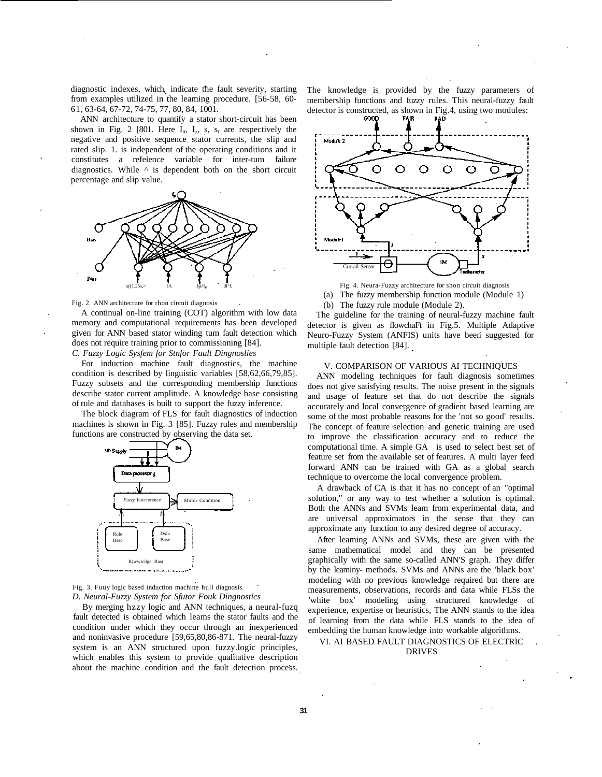diagnostic indexes, which, indicate the fault severity, starting from examples utilized in the leaming procedure. [56-58, 60- 61, 63-64, 67-72, 74-75, 77, 80, 84, 1001.

ANN architecture to quantify a stator short-circuit has been shown in Fig. 2 [801. Here  $I_n$ , I,, s, s<sub>r</sub> are respectively the negative and positive sequence stator currents, the slip and rated slip. 1. is independent of the operating conditions and it constitutes a refeience variable for inter-tum failure diagnostics. While ^ is dependent both on the short circuit percentage and slip value.



Fig. 2. ANN architecrure for rhon circuit diagnosis

A continual on-line training (COT) algorithm with low data memory and computational requirements has been developed given for ANN based stator winding tum fault detection which does not require training prior to commissioning [84]. *C. Fuzzy Logic Sysfem for Stnfor Fault Dingnoslies*

For induction machine fault diagnostics, the machine condition is described by linguistic variables [58,62,66,79,85]. Fuzzy subsets and the corresponding membership functions describe stator current amplitude. A knowledge base consisting of rule and databases is built to support the fuzzy inference.

The block diagram of FLS for fault diagnostics of induction machines is shown in Fig. 3 [85]. Fuzzy rules and membership functions are constructed by observing the data set.



Fig. 3. Fuuy logic based induction machine hull diagnosis *D. Neural-Fuzzy System for Sfutor Fouk Dingnostics*

By merging hzzy logic and ANN techniques, a neural-fuzq fault detected is obtained which leams the stator faults and the condition under which they occur through an inexperienced and noninvasive procedure [59,65,80,86-871. The neural-fuzzy system is an ANN structured upon fuzzy.logic principles, which enables this system to provide qualitative description about the machine condition and the fault detection process. The knowledge is provided by the fuzzy parameters of membership functions and fuzzy rules. This neural-fuzzy fault detector is constructed, as shown in Fig.4, using two modules:<br> $\frac{600}{600}$  FAIR



Fig. 4. Neura-Fuzzy architecture for shon circuit diagnosis

(a) The fuzzy membership function module (Module 1)

(b) The fuzzy rule module (Module 2).

The guideline for the training of neural-fuzzy machine fault detector is given as flowchaFt in Fig.5. Multiple Adaptive Neuro-Fuzzy System (ANFIS) units have been suggested for multiple fault detection [84].

# V. COMPARISON OF VARIOUS AI TECHNIQUES

ANN modeling techniques for fault diagnosis sometimes does not give satisfying results. The noise present in the signals and usage of feature set that do not describe the signals accurately and local convergence of gradient based learning are some of the most probable reasons for the 'not so good' results. The concept of feature selection and genetic training are used to improve the classification accuracy and to reduce the computational time. A simple GA is used to select best set of feature set from the available set of features. A multi layer feed forward ANN can be trained with GA as a global search technique to overcome the local convergence problem.

A drawback of CA is that it has no concept of an "optimal solution," or any way to test whether a solution is optimal. Both the ANNs and SVMs leam from experimental data, and are universal approximators in the sense that they can approximate any function to any desired degree of accuracy.

After leaming ANNs and SVMs, these are given with the same mathematical model and they can be presented graphically with the same so-called ANN'S graph. They differ by the leaminy- methods. SVMs and ANNs are the 'black box' modeling with no previous knowledge required but there are measurements, observations, records and data while FLSs the 'white box' modeling using structured knowledge of experience, expertise or heuristics, The ANN stands to the idea of learning from the data while FLS stands to the idea of embedding the human knowledge into workable algorithms.

VI. AI BASED FAULT DIAGNOSTICS OF ELECTRIC DRIVES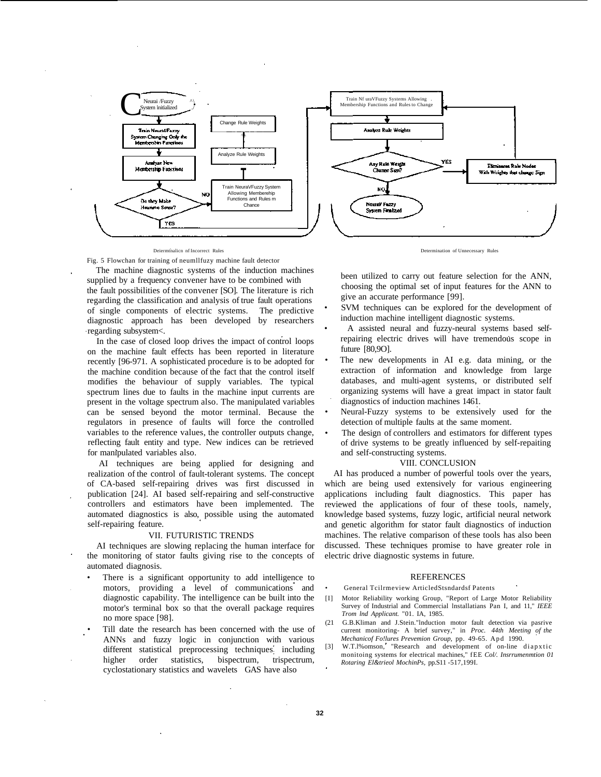

#### Deiermtnalicn nf Incorrect Rules

Fig. 5 Flowchan for training of neumllfuzy machine fault detector

The machine diagnostic systems of the induction machines supplied by a frequency convener have to be combined with the fault possibilities of the convener [SO]. The literature is rich regarding the classification and analysis of true fault operations of single components of electric systems. The predictive diagnostic approach has been developed by researchers regarding subsystem<.

In the case of closed loop drives the impact of control loops on the machine fault effects has been reported in literature recently [96-971. A sophisticated procedure is to be adopted for the machine condition because of the fact that the control itself modifies the behaviour of supply variables. The typical spectrum lines due to faults in the machine input currents are present in the voltage spectrum also. The manipulated variables can be sensed beyond the motor terminal. Because the regulators in presence of faults will force the controlled variables to the reference values, the controller outputs change, reflecting fault entity and type. New indices can be retrieved for manipulated variables also.

AI techniques are being applied for designing and realization of the control of fault-tolerant systems. The concept of CA-based self-repairing drives was first discussed in publication [24]. AI based self-repairing and self-constructive controllers and estimators have been implemented. The automated diagnostics is also, possible using the automated self-repairing feature.

#### VII. FUTURISTIC TRENDS

AI techniques are slowing replacing the human interface for the monitoring of stator faults giving rise to the concepts of automated diagnosis.

- There is a significant opportunity to add intelligence to motors, providing a level of communications and diagnostic capability. The intelligence can be built into the motor's terminal box so that the overall package requires no more space [98].
- Till date the research has been concerned with the use of ANNs and fuzzy logic in conjunction with various different statistical preprocessing techniques; including higher order statistics, bispectrum, trispectrum, cyclostationary statistics and wavelets GAS have also



Determination of Unnecessary Rules

been utilized to carry out feature selection for the ANN, choosing the optimal set of input features for the ANN to give an accurate performance [99].

- SVM techniques can be explored for the development of induction machine intelligent diagnostic systems.
- A assisted neural and fuzzy-neural systems based selfrepairing electric drives will have tremendous scope in future [80,9O].
- The new developments in AI e.g. data mining, or the extraction of information and knowledge from large databases, and multi-agent systems, or distributed self organizing systems will have a great impact in stator fault diagnostics of induction machines 1461.
- Neural-Fuzzy systems to be extensively used for the detection of multiple faults at the same moment.
- The design of controllers and estimators for different types of drive systems to be greatly influenced by self-repaiting and self-constructing systems.

## VIII. CONCLUSION

AI has produced a number of powerful tools over the years, which are being used extensively for various engineering applications including fault diagnostics. This paper has reviewed the applications of four of these tools, namely, knowledge based systems, fuzzy logic, artificial neural network and genetic algorithm for stator fault diagnostics of induction machines. The relative comparison of these tools has also been discussed. These techniques promise to have greater role in electric drive diagnostic systems in future.

#### **REFERENCES**

• General Tcilrmeview ArticledStsndardsf Patents

- [I] Motor Reliability working Group, "Report of Large Motor Reliability Survey of Industrial and Commercial lnstallatians Pan I, and 11," *IEEE Trom lnd Applicant.* "01. IA, 1985.
- (21 G.B.Kliman and J.Stein."lnduction motor fault detection via pasrive current monitoring- A brief survey," in *Proc. 44th Meeting of the Mechanicof Fo!lures Prevemion Group,* pp. 49-65. Apd 1990.
- [3] W.T.1%omson, "Research and development of on-line diapxtic monitoing systems for electrical machines," fEE *Col/. Insrrumenmtion 01 Rotaring El&trieol MochinPs,* pp.S11 -517,199I.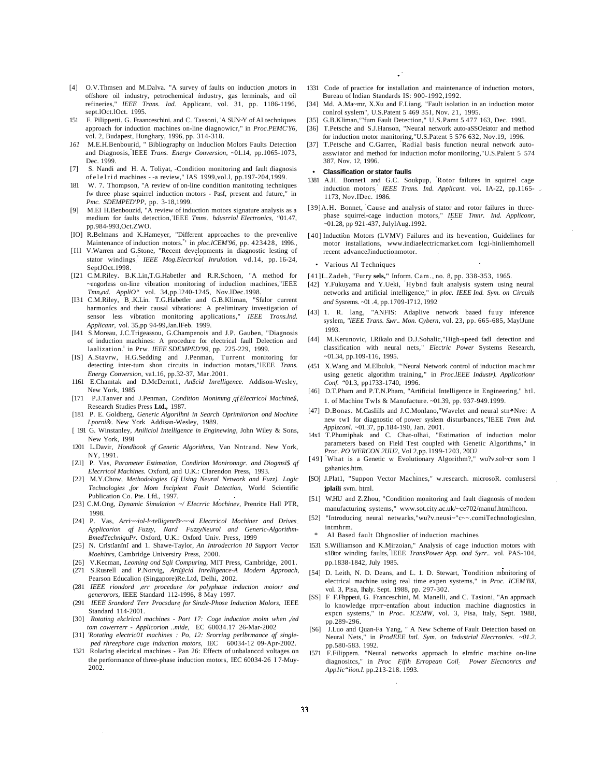- [4] O.V.Thmsen and M.Dalva. "A survey of faults on induction ,motors in offshore oil industry, petrochemical mdustry, gas lerminals, and oil refineries," *IEEE Trans. lad.* Applicant, vol. 31, pp. 1186-1196, sept.lOct.lOct. 1995.
- 151 F. Pilippetti. G. Fraanceschini. and C. Tassoni, A SUN-Y of AI techniques approach for induction machines on-line diagnowicr," in *Proc.PEMC'Y6,* vol. 2, Budapest, Hunghary, 1996, pp. 314-318.
- *161* M.E.H.Benbourid, " Bibliography on lnduclion Molors Faults Detection and Diagnosis," IEEE *Trans. Energv Conversion,* ~01.14, pp.1065-1073, Dec. 1999.
- [7] S. Nandi and H. A. Toliyat, -Condition monitoring and fault diagnosis of elelri d machines - -a review," IAS 1999,vol.l, pp.197-204,1999.
- 181 W. 7. Thompson, "A review of on-line condition manitoting techniques fw three phase squirrel induction motors - Pasf, present and future," in *Pmc. SDEMPED'PP,* pp. 3-18,1999.
- [9] M.EI H.Benbouzid, "A review of induction motors signature analysis as a medium for faults detection, IEEE Tmns. hdusrriol Electronics, "01.47, pp.984-993,Oct.ZWO.
- [IO] R.Belmans and K.Hameyer, "Different approaches to the prevenlive Maintenance of induction motors.<sup>\*</sup>' in ploc.lCEM'96, pp. 423428, 1996.
- [Ill V.Warren and G.Stone, "Recent developments in diagnostic lesting of stator windings: IEEE Mog.Electrical Inrulotion. vd.14, pp. 16-24, SeptJOct.1998.
- [I21 C.M.Riley. B.K.Lin,T.G.Habetler and R.R.Schoen, "A method for ~engorless on-line vibration monitoring of induclion machines,"lEEE *Tmndnd. AppliO"* vol. 34,pp.l240-1245, Nov.lDec.1998.
- [I31 C.M.Riley, B. K.Lin. T.G.Habetler and G.B.Kliman, "Sfalor current harmonics and their causal vibrations: A preliminary investigation of sensor less vibration monitoring applications," *IEEE Trons.lnd. Applicanr,* vol. 35,pp 94-99,Jan.lFeb. 1999.
- [I41 S.Moreau, J.C.Trigeassou, G.Champenois and J.P. Gauben, "Diagnosis of induction machines: A procedure for electrical faull Delection and laalization<sup>3</sup> in Prw. *IEEE SDEMPED'99*, pp. 225-229, 1999.
- [IS] A.Stavrw, H.G.Sedding and J.Penman, Turrent monitoring for detecting inter-tum shon circuits in induction motars,"lEEE *Trans. Energy Conversion,* va1.16, pp.32-37, Mar.2001.
- 1161 E.Chamtak and D.McDermt1, *An\$cid Inrelligence.* Addison-Wesley, New York, 1985
- [171 P.J.Tanver and J.Penman, *Condition Monimmg qf Electricol Machine\$,* Research Studies Press **Ltd.,** 1987.
- [181 P. E. Goldberg, *Generic Algorilhni in Search Oprimiiorion ond Mochine Lporni&.* New York Addisan-Wesley, 1989.
- [ 191 G. Winstanley, *Aniliciol Intelligence in Enginewing,* John Wiley & Sons, New York, I99I
- 1201 L.Davir, *Hondbook qf Genetic Algorithms,* Van Nntrand. New York, NY, 1991.
- [Zl] P. Vas, *Parameter Estimation, Condirion Monironngr. and Diogmsi\$ qf Elecrricol Machines.* Oxford, and U.K.: Clarendon Press, 1993.
- [22] M.Y.Chow, *Methodologies Gf Using Neural Network and Fuzz). Logic Technologies ,for Mom Incipient Fault Detection,* World Scientific Publication Co. Pte. Lfd., 1997.
- [23] C.M.Ong, *Dynamic Simulation ~/ EIecrric Mochinev,* Prenrice Hall PTR, 1998.
- [24] P. Vas, *Arri~~iol-l~telligenrB~~~d Elecrricol Mochiner and Drives Applicorion qf Fuzzy, Nard FuzzyNeurol and Generic-Algorithm-BmedTechniquPr.* Oxford, U.K.: Oxford Univ. Press, 1999
- [25] N. Cristianini and 1. Shawe-Taylor, *An Introdecrion 10 Support Vector Moehinrs,* Cambridge Universiry Press, 2000.
- [26] V.Kecman, *Leoming ond Sqli Compuring,* MIT Press, Cambridge, 2001.
- (271 S.Rusrell and P.Norvig, *Art@cid Inrelligence-A Modern Approach,* Pearson Educalion (Singapore)Re.Ltd, Delhi, 2002.
- (281 *IEEE riondord ,err procedure /or polyphase induction moiorr and generorors,* IEEE Standard 112-1996, 8 May 1997.
- (291 *IEEE Srandord Terr Procsdure for Sinzle-Phose Induction Molors,* IEEE Standard 114-2001.
- [30] *Rotating ekclrical machines Port 17: Coge induction molm when ,/ed tom cowerrerr - Applicorion ..mide,* EC 60034.17 26-Mar-2002
- [31] 'Rotating electric01 machines : Po, 12: Srorring perlbrmance qf single*ped rhreephore cuge induction motors,* IEC 60034-12 09-Apr-2002.
- 1321 Rolaring elecirical machines Pan 26: Effects of unbalanccd voltages on the performance of three-phase induction motors, IEC 60034-26 I 7-Muy-2002.
- 1331 Code of practice for installation and maintenance of induction motors, Bureau of lndian Standards IS: 900-1992,1992.
- [34] Md. A.Ma~mr, X.Xu and F.Liang, "Fault isolation in an induction motor conlrol syslem", U.S.Patent 5 469 35I, Nov. 21, 1995.
- [35] G.B.Kliman,'"fum Fault Detection," U.S.Pamt 5 477 163, Dec. 1995.
- [36] T.Petsche and S.J.Hanson, "Neural network auto-aSSOeiator and method for induction motor manitoring,"U.S.Patent 5 576 632, Nov.19, 1996.
- [37] T.Petsche and C.Garren, 'Radial basis function neural network autoasswiator and method for induction mofor moniloring,"U.S.Palent 5 574 387, Nov. 12, 1996.

## **• Classification or stator faulls**

- 1381 A.H. Bonnet1 and G.C. Soukpup, 'Rotor failures in squirrel cage induction motors, IEEE Trans. Ind. Applicant. vol. IA-22, pp.1165-. 1173, Nov.IDec. 1986.
- [39] A.H. Bonnet, Cause and analysis of stator and rotor failures in threephase squirrel-cage induction motors," *IEEE Tmnr. Ind. Appliconr,* ~01.28, pp 921-437, JulylAug.1992.
- [40] Induction Motors (LVMV) Failures and its hevention, Guidelines for motor installations, www.indiaelectricmarket.com lcgi-hinliemhomell recent advanceJinductionmotor.
- Various AI Techniques
- [41]L.Zadeh, "Furry **sels,"** Inform. Cam., no. 8, pp. 338-353, 1965.
- [42] Y.Fukuyama and Y.Ueki, 'Hybnd fault analysis system using neural networks and artificial intelligence," in *ploc. IEEE Ind. Sym. on Circuils and* Sysrems. ~01 .4, pp.1709-I712, I992
- [43] 1. R. lang, "ANFIS: Adaplive network baaed fuuy inference syslem, *"lEEE Trans. Swr.. Mon. Cybern,* vol. 23, pp. 665-685, MaylJune 1993.
- [44] M.Kerunovic, I.Rikalo and D.J.Sohalic,"High-speed fadl detection and classification with neural nets," *Electric Power* Systems Research, ~01.34, pp.109-116, 1995.
- (451 X.Wang and M.Elbuluk, "'Neural Network control of induction machmr using genetic algorithm training," in *Proc.lEEE Industr). Applicotionr Conf.* "01.3, pp1733-1740, 1996.
- [46] D.T.Pham and P.T.N.Pham, "Artificial Intelligence in Engineering," htl. 1. of Machine Twls & Manufacture. ~01.39, pp. 937-949.1999.
- [47] D.Bonas. M.CasIills and J.C.Monlano,"Wavelet and neural stn+Nre: A new twI for diagnostic of power syslem disturbances,"lEEE *Tmm Ind. Applzconl.* ~01.37, pp.184-190, Jan. 2001.
- 14x1 T.Phumiphak and C. Chat-ulhai, "Estimation of induction molor parameters based on Field Test coupled with Genetic Algorithms," in *Proc. PO WERCON 2lJlJ2,* VoI 2,pp. l199-1203, 20O2
- [49] 'What is a Genetic w Evolutionary Algorithm?," wu?v.soI~cr som I gahanics.htm.
- [SO] J.Plat1, "Suppon Vector Machines," w.research. microsoR. comlusersl **jplaili** svm. html.
- [51] W.HU and Z.Zhou, "Condition monitoring and fault diagnosis of modem manufacturing systems," www.sot.city.ac.uk/~ce702/manuf.htmlftcon.
- [52] "Introducing neural netwarks,"wu?v.neusi~"c~~.comiTechnologicslnnintmhrm.
- \* AI Based fault Dhgnoslier of induction machines
- 1531 S.Williamson and K.Mirzoian," Analysis of cage induction motors with s18tor winding faults, IEEE TransPower App. ond Syrr.. vol. PAS-104, pp.1838-1842, July 1985.
- [54] D. Leith, N. D. Deans, and L. 1. D. Stewart, Tondition mbnitoring of electrical machine using real time expen systems," in *Proc. ICEM'BX,* vol. 3, Pisa, Ihaly. Sept. 1988, pp. 297-302.
- [SS] F F.Fhppeui, G. Franceschini, M. Manelli, and C. Tasioni, "An approach lo knowledge rrprr~entafion about induction machine diagnostics in expcn systems," in *Proc~ ICEMW,* vol. 3, Pisa, Italy, Sept. 1988, pp.289-296.
- [S6] J.Luo and Quan-Fa Yang, " A New Scheme of Fault Detection based on Neural Nets," in *ProdEEE lntl. Sym. on Industrial Elecrronics. ~01.2.* pp.580-583. 1992.
- I571 F.Filippem. "Neural networks approach lo elmfric machine on-line diagnositcs," in *Proc Fifih Erropean Coil: Power Elecnonrcs and App1ic"iion.I.* pp.213-218. 1993.